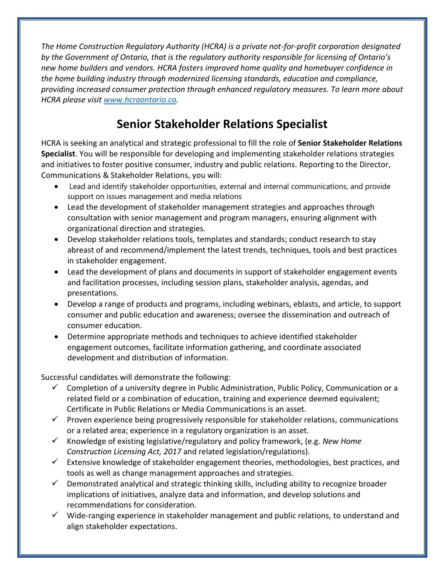*The Home Construction Regulatory Authority (HCRA) is a private not-for-profit corporation designated by the Government of Ontario, that is the regulatory authority responsible for licensing of Ontario's new home builders and vendors. HCRA fosters improved home quality and homebuyer confidence in the home building industry through modernized licensing standards, education and compliance, providing increased consumer protection through enhanced regulatory measures. To learn more about HCRA please visit [www.hcraontario.ca.](http://www.hcraontario.ca/)*

## **Senior Stakeholder Relations Specialist**

HCRA is seeking an analytical and strategic professional to fill the role of **Senior Stakeholder Relations Specialist**. You will be responsible for developing and implementing stakeholder relations strategies and initiatives to foster positive consumer, industry and public relations. Reporting to the Director, Communications & Stakeholder Relations, you will:

- Lead and identify stakeholder opportunities, external and internal communications, and provide support on issues management and media relations
- Lead the development of stakeholder management strategies and approaches through consultation with senior management and program managers, ensuring alignment with organizational direction and strategies.
- Develop stakeholder relations tools, templates and standards; conduct research to stay abreast of and recommend/implement the latest trends, techniques, tools and best practices in stakeholder engagement.
- Lead the development of plans and documents in support of stakeholder engagement events and facilitation processes, including session plans, stakeholder analysis, agendas, and presentations.
- Develop a range of products and programs, including webinars, eblasts, and article, to support consumer and public education and awareness; oversee the dissemination and outreach of consumer education.
- Determine appropriate methods and techniques to achieve identified stakeholder engagement outcomes, facilitate information gathering, and coordinate associated development and distribution of information.

Successful candidates will demonstrate the following:

- $\checkmark$  Completion of a university degree in Public Administration, Public Policy, Communication or a related field or a combination of education, training and experience deemed equivalent; Certificate in Public Relations or Media Communications is an asset.
- $\checkmark$  Proven experience being progressively responsible for stakeholder relations, communications or a related area; experience in a regulatory organization is an asset.
- ✓ Knowledge of existing legislative/regulatory and policy framework, (e.g. *New Home Construction Licensing Act, 2017* and related legislation/regulations).
- $\checkmark$  Extensive knowledge of stakeholder engagement theories, methodologies, best practices, and tools as well as change management approaches and strategies.
- $\checkmark$  Demonstrated analytical and strategic thinking skills, including ability to recognize broader implications of initiatives, analyze data and information, and develop solutions and recommendations for consideration.
- $\checkmark$  Wide-ranging experience in stakeholder management and public relations, to understand and align stakeholder expectations.